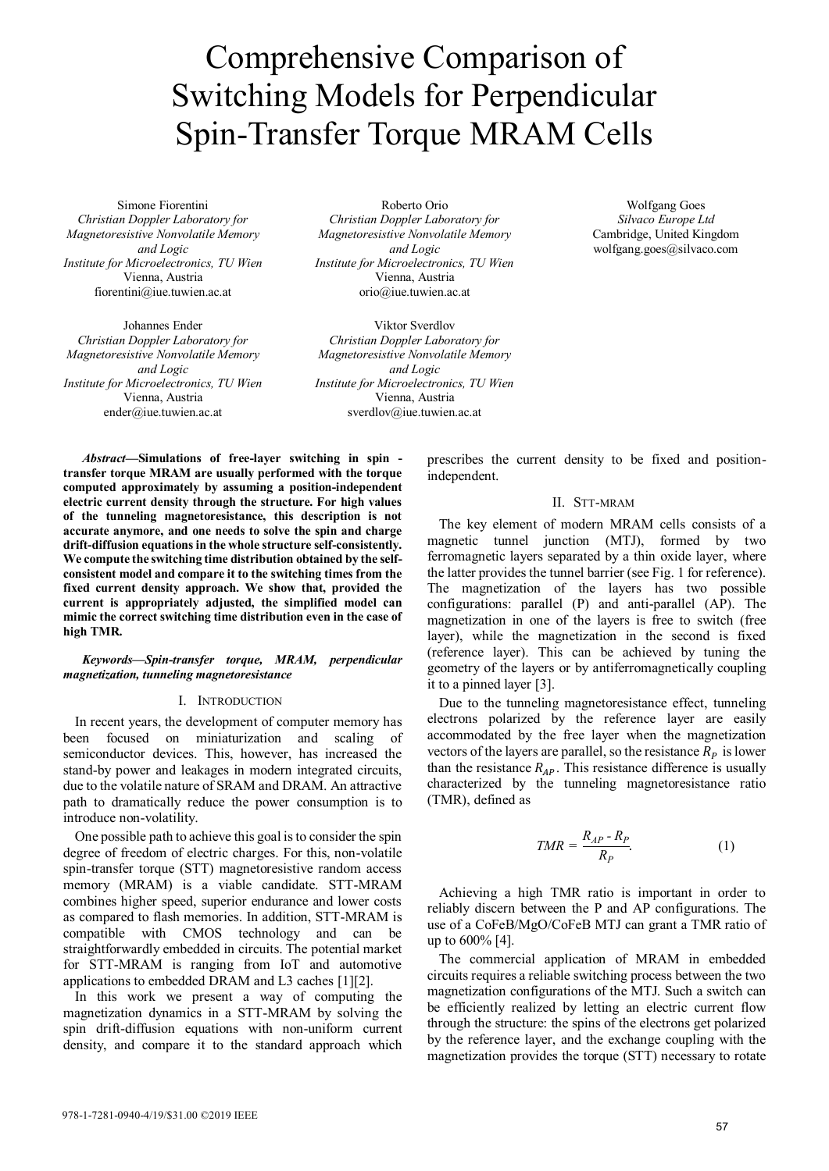# Comprehensive Comparison of Switching Models for Perpendicular Spin-Transfer Torque MRAM Cells

Simone Fiorentini *Christian Doppler Laboratory for Magnetoresistive Nonvolatile Memory and Logic Institute for Microelectronics, TU Wien* Vienna, Austria fiorentini@iue.tuwien.ac.at

Johannes Ender *Christian Doppler Laboratory for Magnetoresistive Nonvolatile Memory and Logic Institute for Microelectronics, TU Wien* Vienna, Austria ender@iue.tuwien.ac.at

Roberto Orio *Christian Doppler Laboratory for Magnetoresistive Nonvolatile Memory and Logic Institute for Microelectronics, TU Wien* Vienna, Austria orio@iue.tuwien.ac.at

Viktor Sverdlov *Christian Doppler Laboratory for Magnetoresistive Nonvolatile Memory and Logic Institute for Microelectronics, TU Wien* Vienna, Austria sverdlov@iue.tuwien.ac.at

*Abstract***—Simulations of free-layer switching in spin transfer torque MRAM are usually performed with the torque computed approximately by assuming a position-independent electric current density through the structure. For high values of the tunneling magnetoresistance, this description is not accurate anymore, and one needs to solve the spin and charge drift-diffusion equations in the whole structure self-consistently. We compute the switching time distribution obtained by the selfconsistent model and compare it to the switching times from the fixed current density approach. We show that, provided the current is appropriately adjusted, the simplified model can mimic the correct switching time distribution even in the case of high TMR.**

## *Keywords—Spin-transfer torque, MRAM, perpendicular magnetization, tunneling magnetoresistance*

### I. INTRODUCTION

In recent years, the development of computer memory has been focused on miniaturization and scaling of semiconductor devices. This, however, has increased the stand-by power and leakages in modern integrated circuits, due to the volatile nature of SRAM and DRAM. An attractive path to dramatically reduce the power consumption is to introduce non-volatility.

One possible path to achieve this goal is to consider the spin degree of freedom of electric charges. For this, non-volatile spin-transfer torque (STT) magnetoresistive random access memory (MRAM) is a viable candidate. STT-MRAM combines higher speed, superior endurance and lower costs as compared to flash memories. In addition, STT-MRAM is compatible with CMOS technology and can be straightforwardly embedded in circuits. The potential market for STT-MRAM is ranging from IoT and automotive applications to embedded DRAM and L3 caches [1][2].

In this work we present a way of computing the magnetization dynamics in a STT-MRAM by solving the spin drift-diffusion equations with non-uniform current density, and compare it to the standard approach which

prescribes the current density to be fixed and positionindependent.

## II. STT-MRAM

The key element of modern MRAM cells consists of a magnetic tunnel junction (MTJ), formed by two ferromagnetic layers separated by a thin oxide layer, where the latter provides the tunnel barrier (see Fig. 1 for reference). The magnetization of the layers has two possible configurations: parallel (P) and anti-parallel (AP). The magnetization in one of the layers is free to switch (free layer), while the magnetization in the second is fixed (reference layer). This can be achieved by tuning the geometry of the layers or by antiferromagnetically coupling it to a pinned layer [3].

Due to the tunneling magnetoresistance effect, tunneling electrons polarized by the reference layer are easily accommodated by the free layer when the magnetization vectors of the layers are parallel, so the resistance  $R_p$  is lower than the resistance  $R_{AP}$ . This resistance difference is usually characterized by the tunneling magnetoresistance ratio (TMR), defined as

$$
TMR = \frac{R_{AP} - R_P}{R_P}.\tag{1}
$$

Achieving a high TMR ratio is important in order to reliably discern between the P and AP configurations. The use of a CoFeB/MgO/CoFeB MTJ can grant a TMR ratio of up to 600% [4].

The commercial application of MRAM in embedded circuits requires a reliable switching process between the two magnetization configurations of the MTJ. Such a switch can be efficiently realized by letting an electric current flow through the structure: the spins of the electrons get polarized by the reference layer, and the exchange coupling with the magnetization provides the torque (STT) necessary to rotate

Wolfgang Goes *Silvaco Europe Ltd* Cambridge, United Kingdom wolfgang.goes@silvaco.com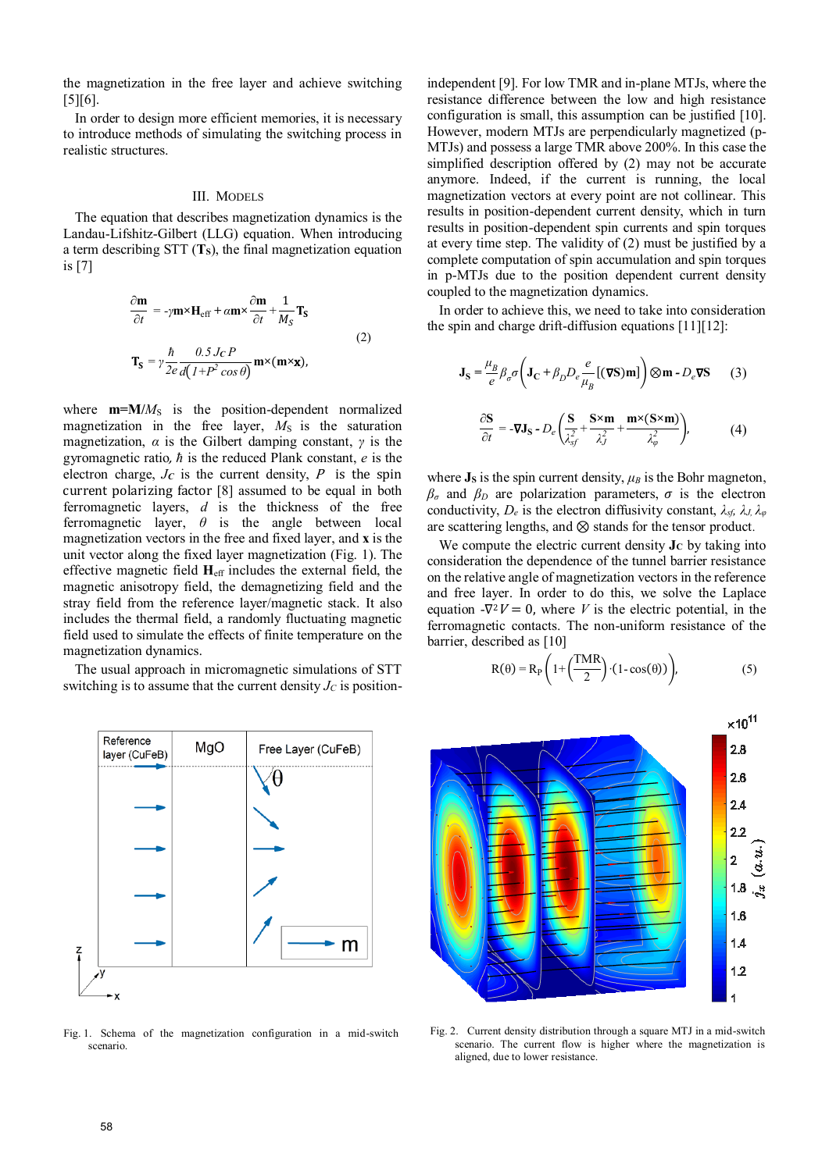the magnetization in the free layer and achieve switching  $[5][6]$ .

In order to design more efficient memories, it is necessary to introduce methods of simulating the switching process in realistic structures.

#### III. MODELS

The equation that describes magnetization dynamics is the Landau-Lifshitz-Gilbert (LLG) equation. When introducing a term describing STT (**TS**), the final magnetization equation is [7]

$$
\frac{\partial \mathbf{m}}{\partial t} = -\gamma \mathbf{m} \times \mathbf{H}_{\text{eff}} + \alpha \mathbf{m} \times \frac{\partial \mathbf{m}}{\partial t} + \frac{1}{M_S} \mathbf{T}_S
$$
\n
$$
\mathbf{T}_S = \gamma \frac{\hbar}{2e} \frac{\partial \mathbf{S} J_C P}{d (1 + P^2 \cos \theta)} \mathbf{m} \times (\mathbf{m} \times \mathbf{x}),
$$
\n(2)

where  $m=M/M<sub>S</sub>$  is the position-dependent normalized magnetization in the free layer,  $M<sub>S</sub>$  is the saturation magnetization, *α* is the Gilbert damping constant, *γ* is the gyromagnetic ratio, *ħ* is the reduced Plank constant, *e* is the electron charge,  $J_C$  is the current density,  $P$  is the spin current polarizing factor [8] assumed to be equal in both ferromagnetic layers, *d* is the thickness of the free ferromagnetic layer, *θ* is the angle between local magnetization vectors in the free and fixed layer, and **x** is the unit vector along the fixed layer magnetization (Fig. 1). The effective magnetic field **H**eff includes the external field, the magnetic anisotropy field, the demagnetizing field and the stray field from the reference layer/magnetic stack. It also includes the thermal field, a randomly fluctuating magnetic field used to simulate the effects of finite temperature on the magnetization dynamics.

The usual approach in micromagnetic simulations of STT switching is to assume that the current density  $J_C$  is position-



Fig. 1. Schema of the magnetization configuration in a mid-switch scenario.

independent [9]. For low TMR and in-plane MTJs, where the resistance difference between the low and high resistance configuration is small, this assumption can be justified [10]. However, modern MTJs are perpendicularly magnetized (p-MTJs) and possess a large TMR above 200%. In this case the simplified description offered by (2) may not be accurate anymore. Indeed, if the current is running, the local magnetization vectors at every point are not collinear. This results in position-dependent current density, which in turn results in position-dependent spin currents and spin torques at every time step. The validity of (2) must be justified by a complete computation of spin accumulation and spin torques in p-MTJs due to the position dependent current density coupled to the magnetization dynamics.

In order to achieve this, we need to take into consideration the spin and charge drift-diffusion equations [11][12]:

$$
\mathbf{J}_\mathbf{S} = \frac{\mu_B}{e} \beta_\sigma \sigma \left( \mathbf{J}_\mathbf{C} + \beta_D D_e \frac{e}{\mu_B} [(\nabla \mathbf{S}) \mathbf{m}] \right) \otimes \mathbf{m} - D_e \nabla \mathbf{S} \tag{3}
$$

$$
\frac{\partial \mathbf{S}}{\partial t} = -\nabla \mathbf{J}_{\mathbf{S}} - D_e \left( \frac{\mathbf{S}}{\lambda_{sf}^2} + \frac{\mathbf{S} \times \mathbf{m}}{\lambda_{sf}^2} + \frac{\mathbf{m} \times (\mathbf{S} \times \mathbf{m})}{\lambda_{\varphi}^2} \right),\tag{4}
$$

where  $J_s$  is the spin current density,  $\mu_B$  is the Bohr magneton,  $\beta_{\sigma}$  and  $\beta_{D}$  are polarization parameters,  $\sigma$  is the electron conductivity, *De* is the electron diffusivity constant, *λsf, λJ, λφ* are scattering lengths, and ⊗ stands for the tensor product.

We compute the electric current density  $\mathbf{J}_C$  by taking into consideration the dependence of the tunnel barrier resistance on the relative angle of magnetization vectors in the reference and free layer. In order to do this, we solve the Laplace equation  $-\nabla^2 V = 0$ , where *V* is the electric potential, in the ferromagnetic contacts. The non-uniform resistance of the barrier, described as [10]

$$
R(\theta) = R_P \left( 1 + \left( \frac{TMR}{2} \right) \cdot (1 - \cos(\theta)) \right),\tag{5}
$$



Fig. 2. Current density distribution through a square MTJ in a mid-switch scenario. The current flow is higher where the magnetization is aligned, due to lower resistance.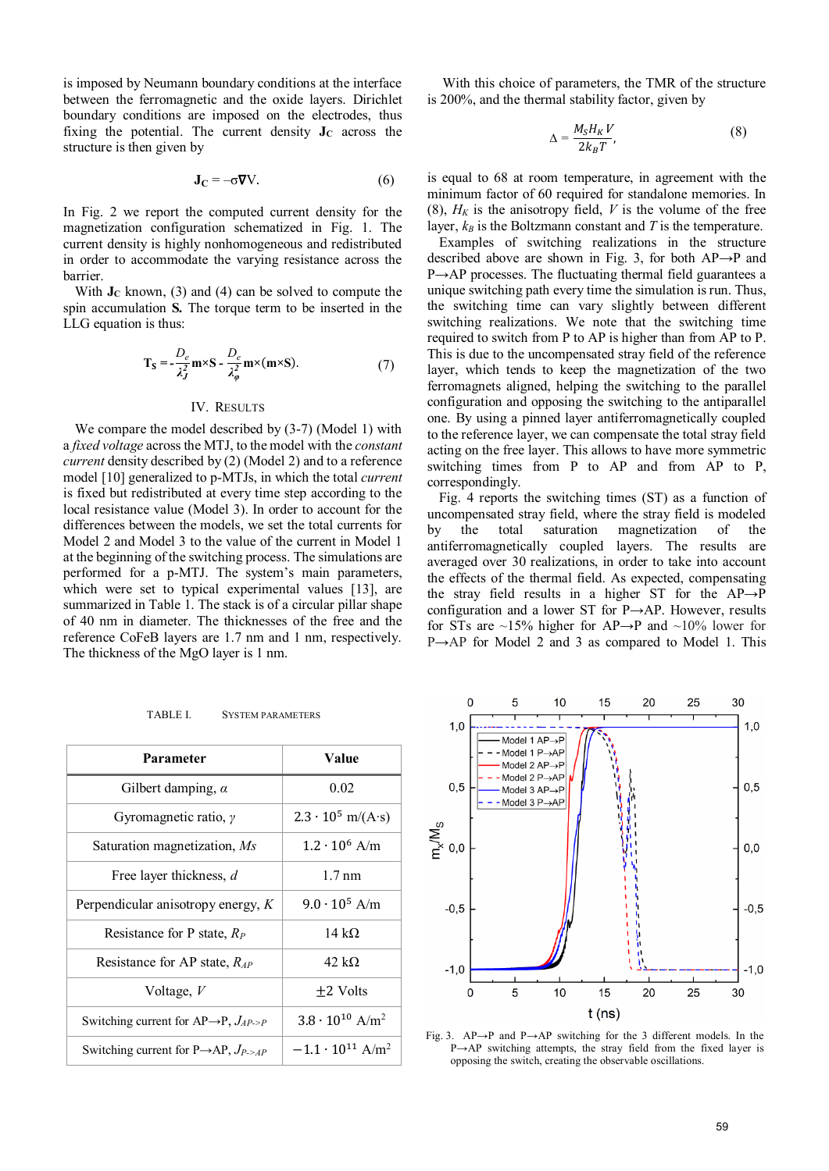is imposed by Neumann boundary conditions at the interface between the ferromagnetic and the oxide layers. Dirichlet boundary conditions are imposed on the electrodes, thus fixing the potential. The current density  $J<sub>C</sub>$  across the structure is then given by

$$
\mathbf{J}_{\mathbf{C}} = -\sigma \nabla V. \tag{6}
$$

In Fig. 2 we report the computed current density for the magnetization configuration schematized in Fig. 1. The current density is highly nonhomogeneous and redistributed in order to accommodate the varying resistance across the barrier.

With  $J<sub>C</sub>$  known, (3) and (4) can be solved to compute the spin accumulation **S***.* The torque term to be inserted in the LLG equation is thus:

$$
T_S = -\frac{D_e}{\lambda_J^2} m \times S - \frac{D_e}{\lambda_\varphi^2} m \times (m \times S). \tag{7}
$$

## IV. RESULTS

We compare the model described by (3-7) (Model 1) with a *fixed voltage* across the MTJ, to the model with the *constant current* density described by (2) (Model 2) and to a reference model [10] generalized to p-MTJs, in which the total *current*  is fixed but redistributed at every time step according to the local resistance value (Model 3). In order to account for the differences between the models, we set the total currents for Model 2 and Model 3 to the value of the current in Model 1 at the beginning of the switching process. The simulations are performed for a p-MTJ. The system's main parameters, which were set to typical experimental values [13], are summarized in Table 1. The stack is of a circular pillar shape of 40 nm in diameter. The thicknesses of the free and the reference CoFeB layers are 1.7 nm and 1 nm, respectively. The thickness of the MgO layer is 1 nm.

With this choice of parameters, the TMR of the structure is 200%, and the thermal stability factor, given by

$$
\Delta = \frac{M_S H_K V}{2k_B T},\tag{8}
$$

is equal to 68 at room temperature, in agreement with the minimum factor of 60 required for standalone memories. In (8),  $H_K$  is the anisotropy field,  $V$  is the volume of the free layer,  $k_B$  is the Boltzmann constant and  $T$  is the temperature.

Examples of switching realizations in the structure described above are shown in Fig. 3, for both AP→P and P→AP processes. The fluctuating thermal field guarantees a unique switching path every time the simulation is run. Thus, the switching time can vary slightly between different switching realizations. We note that the switching time required to switch from P to AP is higher than from AP to P. This is due to the uncompensated stray field of the reference layer, which tends to keep the magnetization of the two ferromagnets aligned, helping the switching to the parallel configuration and opposing the switching to the antiparallel one. By using a pinned layer antiferromagnetically coupled to the reference layer, we can compensate the total stray field acting on the free layer. This allows to have more symmetric switching times from P to AP and from AP to P, correspondingly.

Fig. 4 reports the switching times (ST) as a function of uncompensated stray field, where the stray field is modeled by the total saturation magnetization of the antiferromagnetically coupled layers. The results are averaged over 30 realizations, in order to take into account the effects of the thermal field. As expected, compensating the stray field results in a higher ST for the AP→P configuration and a lower ST for P→AP. However, results for STs are ~15% higher for AP→P and ~10% lower for P→AP for Model 2 and 3 as compared to Model 1. This

| <b>Parameter</b>                                                 | Value                                 |
|------------------------------------------------------------------|---------------------------------------|
| Gilbert damping, $\alpha$                                        | 0.02                                  |
| Gyromagnetic ratio, $\gamma$                                     | $2.3 \cdot 10^5$ m/(A·s)              |
| Saturation magnetization, Ms                                     | $1.2 \cdot 10^6$ A/m                  |
| Free layer thickness, d                                          | $1.7 \text{ nm}$                      |
| Perpendicular anisotropy energy, $K$                             | $9.0 \cdot 10^5$ A/m                  |
| Resistance for P state, $R_P$                                    | 14 k $\Omega$                         |
| Resistance for AP state, $R_{AP}$                                | 42 k $\Omega$                         |
| Voltage, $V$                                                     | +2 Volts                              |
| Switching current for AP $\rightarrow$ P, $J_{AP\rightarrow P}$  | $3.8 \cdot 10^{10}$ A/m <sup>2</sup>  |
| Switching current for P $\rightarrow$ AP, $J_{P \rightarrow AP}$ | $-1.1 \cdot 10^{11}$ A/m <sup>2</sup> |

TABLE I. SYSTEM PARAMETERS



Fig. 3. AP→P and P→AP switching for the 3 different models. In the P→AP switching attempts, the stray field from the fixed layer is opposing the switch, creating the observable oscillations.